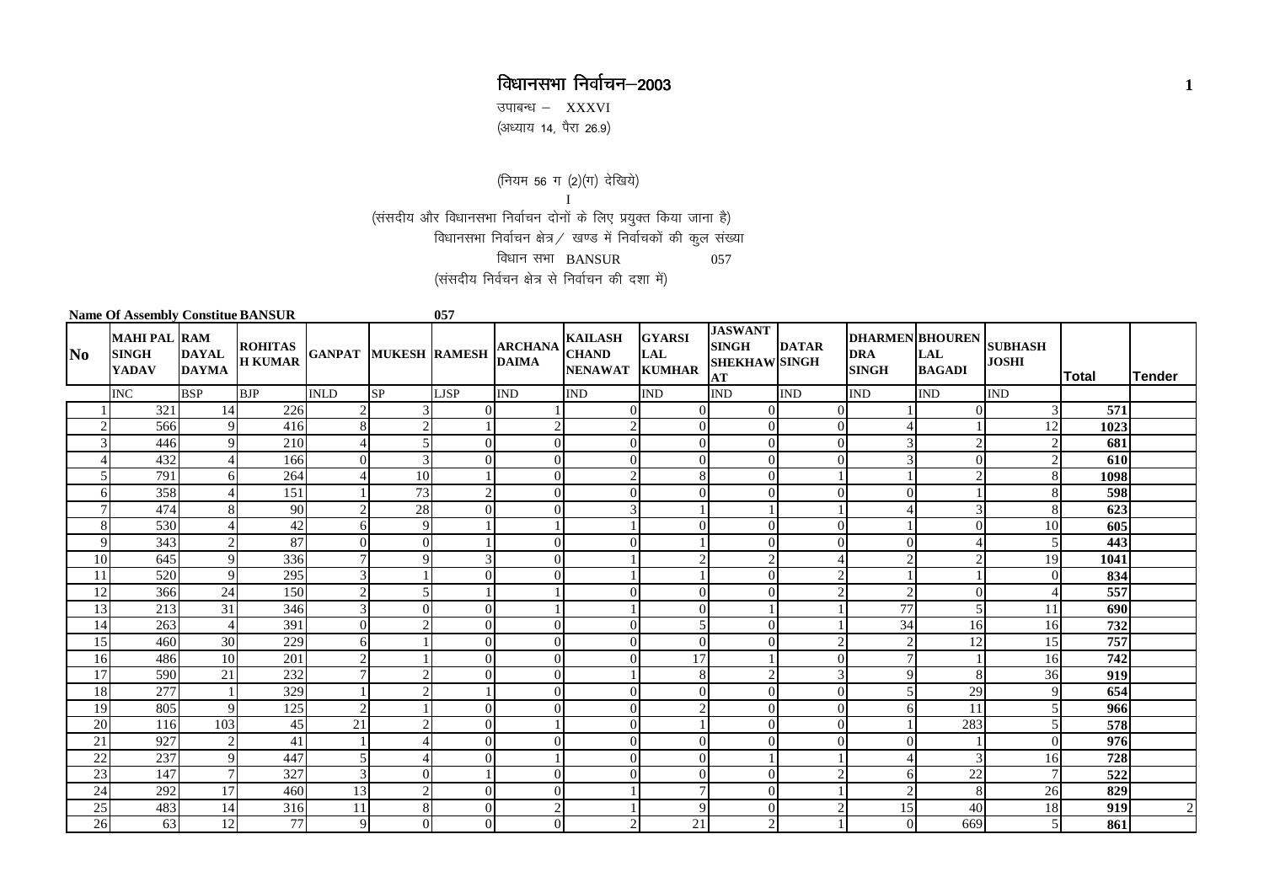## विधानसभा निर्वाचन–2003 **<sup>1</sup>**

उपाबन्ध $-$  XXXVI ,<br>(अध्याय 14, पैरा 26.9)

 $($ नियम 56 ग $(2)($ ग $)$  देखिये)

I

(संसदीय और विधानसभा निर्वाचन दोनों के लिए प्रयुक्त किया जाना है)

विधानसभा निर्वाचन क्षेत्र $\hspace{0.1 cm}/\hspace{0.1 cm}$  खण्ड में निर्वाचकों की कुल संख्या

विधान $H$ सभा BANSUR  $057$ 

(संसदीय निर्वचन क्षेत्र से निर्वाचन की दशा में)

| <b>Name Of Assembly Constitue BANSUR</b> |                                                     |                              |                                         |                             | 057      |                        |                                |                                                         |                             |                                                              |              |                                                       |                          |                |       |                |
|------------------------------------------|-----------------------------------------------------|------------------------------|-----------------------------------------|-----------------------------|----------|------------------------|--------------------------------|---------------------------------------------------------|-----------------------------|--------------------------------------------------------------|--------------|-------------------------------------------------------|--------------------------|----------------|-------|----------------|
| $\bf No$                                 | <b>MAHI PAL RAM</b><br><b>SINGH</b><br><b>YADAV</b> | <b>DAYAL</b><br><b>DAYMA</b> | ROHITAS<br>H KUMAR GANPAT MUKESH RAMESH |                             |          |                        | <b>ARCHANA</b><br><b>DAIMA</b> | <b>KAILASH</b><br><b>CHAND</b><br><b>NENAWAT KUMHAR</b> | <b>GYARSI</b><br><b>LAL</b> | <b>JASWANT</b><br><b>SINGH</b><br><b>SHEKHAW SINGH</b><br>AT | <b>DATAR</b> | DHARMEN BHOUREN SUBHASH<br><b>DRA</b><br><b>SINGH</b> | LAL<br><b>BAGADI</b>     | <b>JOSHI</b>   | Total | <b>Tender</b>  |
|                                          | <b>INC</b>                                          | <b>BSP</b>                   | <b>BJP</b>                              | <b>INLD</b>                 | SP       | <b>LISP</b>            | <b>IND</b>                     | IND                                                     | <b>IND</b>                  | <b>IND</b>                                                   | <b>IND</b>   | <b>IND</b>                                            | <b>IND</b>               | <b>IND</b>     |       |                |
|                                          | 321                                                 | 14                           | 226                                     | $\mathcal{D}_{\mathcal{L}}$ |          | ΩI                     |                                | $\Omega$                                                | $\overline{0}$              | $\Omega$                                                     |              |                                                       | $\overline{0}$           | 3              | 571   |                |
| $\overline{c}$                           | 566                                                 | $\overline{9}$               | 416                                     | 8                           |          |                        | $\overline{c}$                 | $\overline{2}$                                          | $\theta$                    | $\Omega$                                                     | $\Omega$     |                                                       |                          | 12             | 1023  |                |
| 3                                        | 446                                                 | $\mathbf Q$                  | 210                                     | $\boldsymbol{\vartriangle}$ |          | $\Omega$               | $\theta$                       | $\Omega$                                                | $\overline{0}$              | $\Omega$                                                     | $\Omega$     | $\overline{3}$                                        | $\mathbf{2}$             | $\overline{c}$ | 681   |                |
|                                          | 432                                                 |                              | 166                                     | $\Omega$                    |          | $\Omega$               | $\theta$                       | $\Omega$                                                | $\theta$                    | $\Omega$                                                     |              | 3                                                     | $\Omega$                 |                | 610   |                |
| $\overline{5}$                           | 791                                                 | 6                            | 264                                     |                             | 10       |                        | $\theta$                       | $\mathcal{D}$                                           | 8                           | $\Omega$                                                     |              |                                                       | $\overline{2}$           | 8              | 1098  |                |
| 6                                        | 358                                                 |                              | 151                                     |                             | 73       | $\mathcal{D}_{\alpha}$ | $\theta$                       | $\Omega$                                                | $\overline{0}$              | $\Omega$                                                     |              | $\Omega$                                              |                          | 8              | 598   |                |
| $\overline{7}$                           | 474                                                 | 8                            | 90                                      | $\mathcal{D}$               | 28       | 0                      | $\Omega$                       | 3                                                       |                             |                                                              |              |                                                       | 3                        | 8              | 623   |                |
| 8                                        | 530                                                 |                              | 42                                      | 6                           | 9        |                        |                                |                                                         | $\mathbf{0}$                | $\Omega$                                                     |              |                                                       | $\Omega$                 | 10             | 605   |                |
| 9                                        | 343                                                 | $\overline{2}$               | 87                                      | $\Omega$                    | $\Omega$ |                        | $\theta$                       | $\Omega$                                                |                             | $\Omega$                                                     |              | $\Omega$                                              | $\overline{\mathcal{A}}$ |                | 443   |                |
| 10                                       | 645                                                 | 9                            | 336                                     | $\mathbf{7}$                |          |                        | $\mathbf{0}$                   |                                                         | $\overline{2}$              |                                                              |              | $\overline{2}$                                        | $\overline{c}$           | 19             | 1041  |                |
| 11                                       | 520                                                 | $\overline{Q}$               | 295                                     | 3                           |          | 0                      | $\theta$                       |                                                         |                             | $\Omega$                                                     |              |                                                       |                          | $\Omega$       | 834   |                |
| 12                                       | 366                                                 | 24                           | 150                                     | $\overline{2}$              |          |                        |                                |                                                         | $\theta$                    | $\Omega$                                                     |              | $\overline{c}$                                        | $\Omega$                 |                | 557   |                |
| 13                                       | 213                                                 | 31                           | 346                                     | $\mathcal{R}$               |          | $\Omega$               |                                |                                                         | $\Omega$                    |                                                              |              | 77                                                    | 5                        | 11             | 690   |                |
| 14                                       | 263                                                 | $\overline{4}$               | 391                                     | $\Omega$                    |          | $\Omega$               | $\Omega$                       | $\Omega$                                                | 5                           | $\Omega$                                                     |              | 34                                                    | 16                       | 16             | 732   |                |
| 15                                       | 460                                                 | 30                           | 229                                     | 6                           |          | $\Omega$               | $\mathbf{0}$                   | $\Omega$                                                | $\theta$                    | $\Omega$                                                     |              | $\overline{2}$                                        | 12                       | 15             | 757   |                |
| 16                                       | 486                                                 | 10                           | 201                                     | $\mathcal{D}$               |          | $\Omega$               | $\theta$                       | $\Omega$                                                | $\overline{17}$             |                                                              |              | $\mathbf{7}$                                          |                          | 16             | 742   |                |
| 17                                       | 590                                                 | 21                           | 232                                     |                             |          | $\Omega$               | $\theta$                       |                                                         | $\,8\,$                     | $\sim$                                                       |              | 9                                                     | 8                        | 36             | 919   |                |
| 18                                       | 277                                                 |                              | 329                                     |                             |          |                        | $\Omega$                       | $\Omega$                                                | $\overline{0}$              | $\Omega$                                                     |              |                                                       | 29                       | Q              | 654   |                |
| 19                                       | 805                                                 | $\mathbf Q$                  | 125                                     | $\overline{2}$              |          | $\Omega$               | $\theta$                       | $\theta$                                                | $\overline{2}$              | $\Omega$                                                     |              | 6                                                     | 11                       |                | 966   |                |
| 20                                       | 116                                                 | 103                          | 45                                      | 21                          |          | ΩI                     |                                | $\Omega$                                                |                             | $\Omega$                                                     | $\Omega$     |                                                       | 283                      |                | 578   |                |
| $\overline{21}$                          | 927                                                 | $\overline{2}$               | 41                                      |                             |          | $\Omega$               | $\mathbf{0}$                   | $\Omega$                                                | $\Omega$                    | $\Omega$                                                     |              | 0                                                     |                          | $\Omega$       | 976   |                |
| $22\,$                                   | 237                                                 | $\overline{Q}$               | 447                                     | $\overline{5}$              |          | 0                      |                                | $\Omega$                                                | $\mathbf{0}$                |                                                              |              |                                                       | 3                        | 16             | 728   |                |
| 23                                       | 147                                                 |                              | 327                                     | 3                           |          |                        | $\mathbf{0}$                   | $\Omega$                                                | $\overline{0}$              | $\Omega$                                                     |              | 6                                                     | 22                       |                | 522   |                |
| 24                                       | 292                                                 | 17                           | 460                                     | 13                          |          | $\Omega$               | $\theta$                       |                                                         | $\tau$                      | $\Omega$                                                     |              | $\mathfrak{D}$                                        | 8                        | 26             | 829   |                |
| 25                                       | 483                                                 | 14                           | 316                                     | 11                          |          | ∩                      | $\overline{2}$                 |                                                         | 9                           | $\Omega$                                                     |              | 15                                                    | 40                       | 18             | 919   | $\overline{c}$ |
| 26                                       | 63                                                  | 12                           | 77                                      | 9                           |          | 0                      | $\theta$                       | $\overline{2}$                                          | 21                          |                                                              |              | $\Omega$                                              | 669                      | 5              | 861   |                |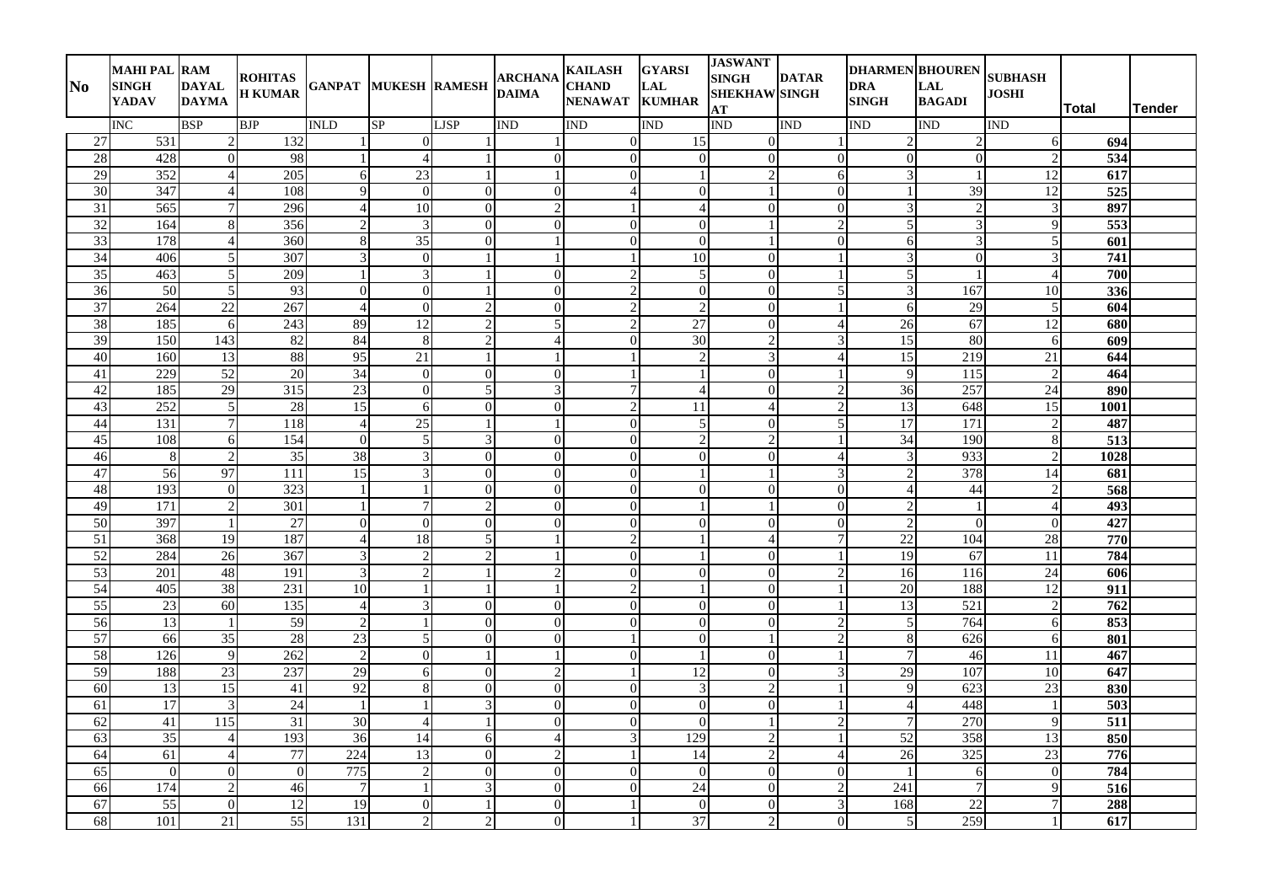| N <sub>0</sub>  | <b>MAHI PAL RAM</b><br><b>SINGH</b><br><b>YADAV</b> | <b>DAYAL</b><br><b>DAYMA</b> | <b>ROHITAS</b><br><b>H KUMAR</b> | <b>GANPAT MUKESH RAMESH</b> |                          |                            | <b>ARCHANA</b><br><b>DAIMA</b> | <b>KAILASH</b><br><b>CHAND</b><br>NENAWAT KUMHAR | <b>GYARSI</b><br>LAL       | <b>JASWANT</b><br><b>SINGH</b><br><b>SHEKHAW SINGH</b><br>AT | <b>DATAR</b>   | <b>DHARMEN BHOUREN</b><br>DRA<br><b>SINGH</b> | <b>LAL</b><br><b>BAGADI</b> | <b>SUBHASH</b><br><b>JOSHI</b> | Total            | <b>Tender</b> |
|-----------------|-----------------------------------------------------|------------------------------|----------------------------------|-----------------------------|--------------------------|----------------------------|--------------------------------|--------------------------------------------------|----------------------------|--------------------------------------------------------------|----------------|-----------------------------------------------|-----------------------------|--------------------------------|------------------|---------------|
|                 | <b>INC</b>                                          | <b>BSP</b>                   | <b>BJP</b>                       | <b>INLD</b>                 | SP                       | <b>LJSP</b>                | <b>IND</b>                     | IND                                              | IND                        | <b>IND</b>                                                   | IND            | IND                                           | <b>IND</b>                  | <b>IND</b>                     |                  |               |
| 27              | 531                                                 |                              | 132                              |                             | $\Omega$                 |                            |                                | $\overline{0}$                                   | 15                         | $\Omega$                                                     |                |                                               |                             | 6                              | 694              |               |
| 28              | 428                                                 | $\Omega$                     | 98                               |                             |                          |                            | $\mathbf{0}$                   | $\boldsymbol{0}$                                 | $\theta$                   | $\Omega$                                                     | $\Omega$       | $\Omega$                                      | $\Omega$                    |                                | $\overline{534}$ |               |
| 29              | 352                                                 | $\overline{4}$               | 205                              | 6                           | 23                       |                            | $\mathbf{1}$                   | $\boldsymbol{0}$                                 |                            | $\mathcal{D}$                                                | 6              | 3                                             |                             | 12                             | 617              |               |
| $\overline{30}$ | 347                                                 | $\overline{4}$               | 108                              | $\mathbf{Q}$                | $\overline{0}$           | $\Omega$                   | $\mathbf{0}$                   | $\overline{4}$                                   | $\mathbf{0}$               |                                                              | $\overline{0}$ | -1                                            | $\overline{39}$             | 12                             | $\overline{525}$ |               |
| $\overline{31}$ | 565                                                 | 7                            | 296                              | $\overline{A}$              | $10\,$                   | $\Omega$                   | $\overline{c}$                 | -1                                               | $\overline{4}$             | $\Omega$                                                     | $\Omega$       | $\mathbf{R}$                                  | $\mathfrak{D}$              |                                | 897              |               |
| 32              | 164                                                 | 8                            | 356                              | $\overline{c}$              | 3                        | $\Omega$                   | $\mathbf{0}$                   | $\mathbf{0}$                                     | $\mathbf{0}$               |                                                              | $\mathcal{D}$  | 5                                             | 3                           | 9                              | 553              |               |
| 33              | 178                                                 | $\overline{4}$               | 360                              | 8                           | $\overline{35}$          | $\Omega$                   | $\mathbf{1}$                   | $\Omega$                                         | $\Omega$                   |                                                              | $\Omega$       | 6                                             | 3                           |                                | 601              |               |
| $\overline{34}$ | 406                                                 | 5                            | 307                              | 3                           | $\Omega$                 |                            |                                |                                                  | $\overline{10}$            | $\Omega$                                                     |                |                                               | $\theta$                    |                                | $\overline{741}$ |               |
| 35              | 463                                                 | 5                            | 209                              |                             | 3                        |                            | $\mathbf{0}$                   | $\overline{2}$                                   | $\overline{5}$             | $\Omega$                                                     |                | 5                                             |                             | $\overline{4}$                 | 700              |               |
| $\overline{36}$ | $\overline{50}$                                     | 5                            | 93                               | $\overline{0}$              | $\Omega$                 |                            | $\overline{0}$                 | $\sqrt{2}$                                       | $\overline{0}$             | $\Omega$                                                     | 5              | $\mathcal{R}$                                 | 167                         | 10                             | 336              |               |
| $\overline{37}$ | 264                                                 | 22                           | 267                              | $\Delta$                    | $\Omega$                 | $\overline{c}$             | $\boldsymbol{0}$               | $\sqrt{2}$                                       | $\overline{2}$             | $\overline{0}$                                               |                | 6                                             | 29                          | 5                              | 604              |               |
| 38              | 185                                                 | 6                            | 243                              | 89                          | 12                       | $\overline{c}$             | 5                              | $\overline{2}$                                   | 27                         | $\overline{0}$                                               |                | $\overline{26}$                               | 67                          | 12                             | 680              |               |
| 39              | 150                                                 | 143                          | 82                               | 84                          | 8                        | $\overline{c}$             | $\overline{4}$                 | $\boldsymbol{0}$                                 | 30                         | $\overline{2}$                                               | 3              | 15                                            | 80                          | 6                              | 609              |               |
| 40              | 160<br>229                                          | 13                           | 88<br>20                         | 95<br>34                    | $\overline{21}$          |                            | $\mathbf{1}$                   |                                                  | $\sqrt{2}$<br>$\mathbf{1}$ | 3                                                            | Δ              | 15<br>9                                       | 219<br>115                  | 21                             | 644              |               |
| 41<br>42        |                                                     | 52                           | 315                              | 23                          | $\Omega$<br>$\Omega$     | $\Omega$<br>5 <sup>1</sup> | $\mathbf{0}$                   | -1                                               |                            | $\Omega$                                                     |                |                                               | 257                         | 24                             | 464              |               |
| 43              | 185<br>252                                          | 29<br>5                      | $\overline{28}$                  | 15                          | 6                        | $\Omega$                   | 3<br>$\mathbf{0}$              | $\tau$<br>$\overline{2}$                         | $\overline{4}$<br>11       | $\overline{0}$<br>$\overline{4}$                             |                | 36<br>13                                      | 648                         | 15                             | 890<br>1001      |               |
| 44              | 131                                                 | $\overline{7}$               | 118                              | $\overline{4}$              | 25                       |                            | $\mathbf{1}$                   | $\boldsymbol{0}$                                 | 5                          | $\Omega$                                                     | 5              | 17                                            | 171                         |                                | 487              |               |
| 45              | 108                                                 | 6                            | 154                              | $\overline{0}$              | 5                        | 3                          | $\overline{0}$                 | $\boldsymbol{0}$                                 | $\overline{2}$             | $\overline{2}$                                               |                | $\overline{34}$                               | 190                         | 8                              | 513              |               |
| 46              | $\,8\,$                                             | $\overline{2}$               | $\overline{35}$                  | 38                          | $\mathbf{3}$             | $\Omega$                   | $\mathbf{0}$                   | $\boldsymbol{0}$                                 | $\boldsymbol{0}$           | $\Omega$                                                     | $\Delta$       | 3                                             | 933                         |                                | 1028             |               |
| 47              | 56                                                  | 97                           | 111                              | 15                          | 3                        | $\Omega$                   | $\boldsymbol{0}$               | $\boldsymbol{0}$                                 | $\mathbf{1}$               |                                                              | 3              | $\mathcal{D}$                                 | 378                         | 14                             | 681              |               |
| 48              | 193                                                 | $\Omega$                     | 323                              |                             |                          | $\Omega$                   | $\Omega$                       | $\theta$                                         | $\overline{0}$             | $\Omega$                                                     | $\Omega$       | 4                                             | 44                          |                                | $\overline{568}$ |               |
| 49              | $\overline{171}$                                    | $\overline{2}$               | $\overline{301}$                 |                             |                          | $\overline{c}$             | $\mathbf{0}$                   | $\mathbf{0}$                                     |                            |                                                              | $\Omega$       | $\overline{c}$                                |                             |                                | 493              |               |
| 50              | 397                                                 |                              | 27                               | $\overline{0}$              | $\Omega$                 | $\Omega$                   | $\mathbf{0}$                   | $\boldsymbol{0}$                                 | $\boldsymbol{0}$           | $\overline{0}$                                               | $\overline{0}$ |                                               | $\overline{0}$              | $\overline{0}$                 | 427              |               |
| 51              | 368                                                 | 19                           | 187                              | $\overline{4}$              | 18                       | 5 <sub>l</sub>             | 1                              | $\overline{2}$                                   | $\mathbf{1}$               | $\overline{4}$                                               | 7              | $\overline{22}$                               | 104                         | 28                             | 770              |               |
| 52              | 284                                                 | $\overline{26}$              | 367                              | 3                           | $\mathcal{D}$            | $\overline{c}$             | 1                              | $\boldsymbol{0}$                                 |                            | $\overline{0}$                                               |                | 19                                            | 67                          | $\overline{11}$                | 784              |               |
| 53              | 201                                                 | 48                           | 191                              | 3                           | $\gamma$                 |                            | $\overline{c}$                 | $\boldsymbol{0}$                                 | $\overline{0}$             | $\Omega$                                                     |                | 16                                            | 116                         | 24                             | 606              |               |
| 54              | 405                                                 | 38                           | 231                              | $\overline{10}$             |                          |                            |                                | $\overline{2}$                                   |                            | $\Omega$                                                     |                | $\overline{20}$                               | 188                         | 12                             | $\overline{911}$ |               |
| $\overline{55}$ | 23                                                  | 60                           | 135                              | $\overline{4}$              | 3                        | $\Omega$                   | $\boldsymbol{0}$               | $\boldsymbol{0}$                                 | $\Omega$                   | $\Omega$                                                     |                | 13                                            | $\overline{521}$            | $\mathcal{D}$                  | 762              |               |
| 56              | 13                                                  | 1                            | 59                               | $\overline{2}$              |                          | $\Omega$                   | $\Omega$                       | $\Omega$                                         | $\mathbf{0}$               | $\Omega$                                                     | $\mathcal{D}$  | .5                                            | 764                         | 6                              | 853              |               |
| 57              | 66                                                  | 35                           | 28                               | 23                          | $\overline{\phantom{0}}$ | $\overline{0}$             | $\mathbf{0}$                   | 1                                                | $\boldsymbol{0}$           |                                                              | $\mathcal{D}$  | 8                                             | 626                         | 6                              | 801              |               |
| 58              | 126                                                 | 9                            | 262                              | $\overline{2}$              | $\Omega$                 |                            | $\overline{1}$                 | $\mathbf{0}$                                     | $\mathbf{1}$               | $\Omega$                                                     |                | $\overline{7}$                                | 46                          | 11                             | 467              |               |
| 59              | 188                                                 | 23                           | 237                              | $\overline{29}$             | 6                        | $\Omega$                   | $\overline{2}$                 |                                                  | $\overline{12}$            | $\Omega$                                                     |                | 29                                            | 107                         | 10                             | 647              |               |
| 60              | $\overline{13}$                                     | 15                           | 41                               | 92                          | 8                        | $\Omega$                   | $\mathbf{0}$                   | $\boldsymbol{0}$                                 | $\overline{3}$             | $\overline{c}$                                               |                | 9                                             | 623                         | $\overline{23}$                | 830              |               |
| 61              | 17                                                  | 3                            | 24                               | $\overline{1}$              |                          | 3                          | $\overline{0}$                 | $\mathbf{0}$                                     | $\boldsymbol{0}$           | $\overline{0}$                                               |                | 4                                             | 448                         |                                | $\overline{503}$ |               |
| 62              | 41                                                  | 115                          | $\overline{31}$                  | 30                          |                          |                            | $\boldsymbol{0}$               | $\boldsymbol{0}$                                 | $\boldsymbol{0}$           |                                                              | 2              | $\overline{7}$                                | 270                         | 9                              | $\overline{511}$ |               |
| 63              | 35                                                  | 4                            | 193                              | 36                          | 14                       | $6 \mid$                   | $\overline{4}$                 | $\overline{\mathbf{3}}$                          | 129                        | $\mathcal{D}$                                                |                | 52                                            | 358                         | 13                             | 850              |               |
| 64              | 61                                                  | $\overline{\mathcal{A}}$     | 77                               | 224                         | 13                       | $\Omega$                   | $\overline{2}$                 |                                                  | 14                         | $\overline{2}$                                               |                | 26                                            | $\overline{325}$            | 23                             | $\overline{776}$ |               |
| $\overline{65}$ | $\overline{0}$                                      | $\Omega$                     | $\overline{0}$                   | 775                         | $\overline{c}$           | $\Omega$                   | $\mathbf{0}$                   | $\mathbf{0}$                                     | $\theta$                   | $\Omega$                                                     | $\Omega$       | - 1                                           | 6                           | $\overline{0}$                 | 784              |               |
| 66              | 174                                                 | $\mathfrak{D}$               | 46                               | $\overline{7}$              |                          | 3                          | $\Omega$                       | $\Omega$                                         | 24                         | $\Omega$                                                     |                | 241                                           | $\overline{7}$              |                                | 516              |               |
| 67              | $\overline{55}$                                     | $\overline{0}$               | 12                               | $\overline{19}$             | $\Omega$                 |                            | $\mathbf{0}$                   | 1                                                | $\mathbf{0}$               | $\overline{0}$                                               | 3              | 168                                           | $\overline{22}$             |                                | 288              |               |
| 68              | 101                                                 | 21                           | 55                               | 131                         | $\overline{2}$           | $\sqrt{2}$                 | $\overline{0}$                 | $\mathbf{1}$                                     | 37                         | $\overline{2}$                                               | $\Omega$       | 5                                             | 259                         |                                | 617              |               |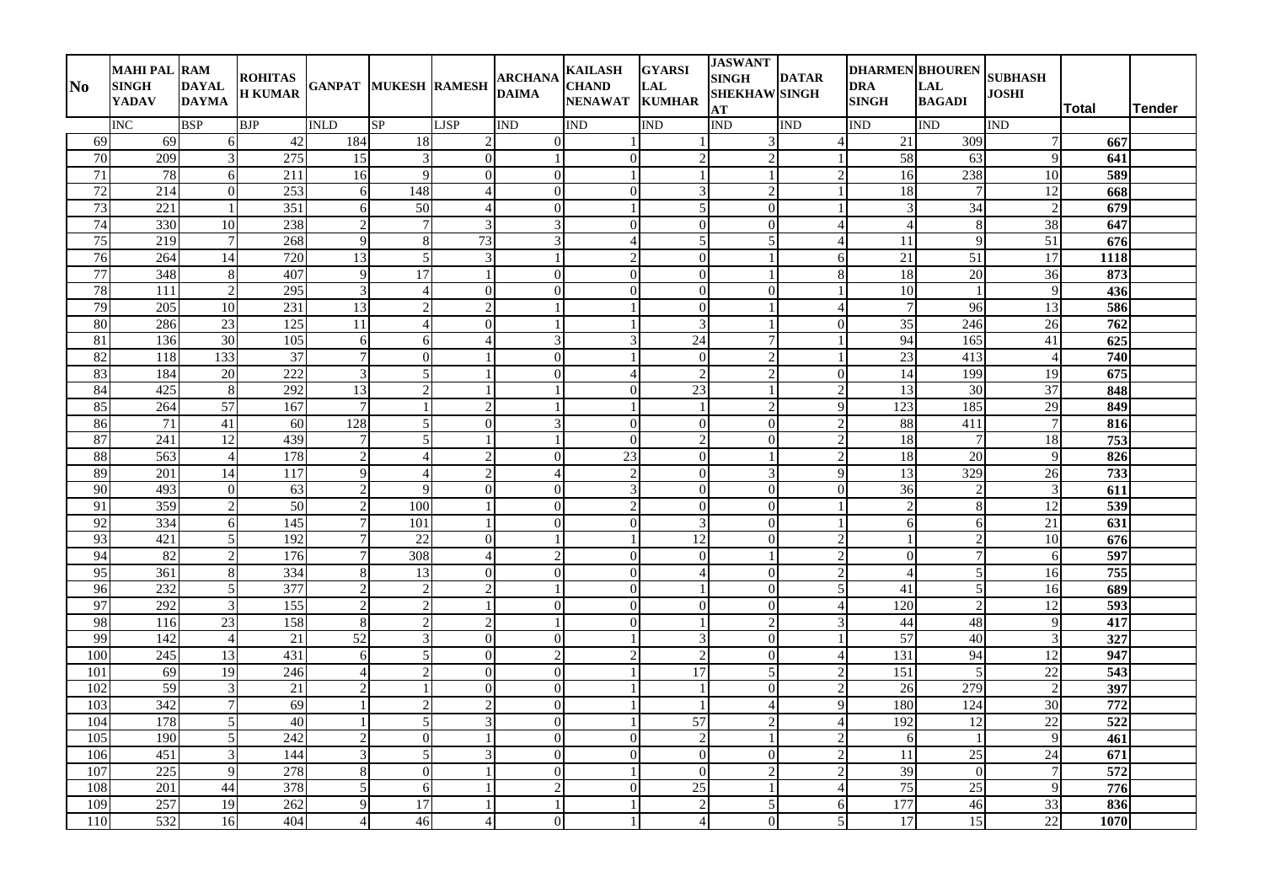| No              | <b>MAHI PAL RAM</b><br><b>SINGH</b><br><b>YADAV</b> | <b>DAYAL</b><br><b>DAYMA</b> | <b>ROHITAS</b><br><b>H KUMAR</b> | <b>GANPAT MUKESH RAMESH</b> |                                      |                          | <b>ARCHANA</b><br><b>DAIMA</b> | <b>KAILASH</b><br><b>CHAND</b><br>NENAWAT KUMHAR | <b>GYARSI</b><br>LAL        | <b>JASWANT</b><br><b>SINGH</b><br><b>SHEKHAW SINGH</b><br>AT | <b>DATAR</b>              | <b>DHARMEN BHOUREN</b><br>DRA<br><b>SINGH</b> | <b>LAL</b><br><b>BAGADI</b> | <b>SUBHASH</b><br><b>JOSHI</b> | Total            | <b>Tender</b> |
|-----------------|-----------------------------------------------------|------------------------------|----------------------------------|-----------------------------|--------------------------------------|--------------------------|--------------------------------|--------------------------------------------------|-----------------------------|--------------------------------------------------------------|---------------------------|-----------------------------------------------|-----------------------------|--------------------------------|------------------|---------------|
|                 | <b>INC</b>                                          | <b>BSP</b>                   | <b>BJP</b>                       | <b>INLD</b>                 | SP                                   | <b>LJSP</b>              | <b>IND</b>                     | <b>IND</b>                                       | IND                         | <b>IND</b>                                                   | <b>IND</b>                | IND                                           | <b>IND</b>                  | <b>IND</b>                     |                  |               |
| 69              | 69                                                  | 6                            | 42                               | 184                         | 18                                   | 2                        | $\overline{0}$                 |                                                  |                             | 3                                                            |                           | $\overline{21}$                               | 309                         |                                | 667              |               |
| $\overline{70}$ | 209                                                 | $\overline{\mathcal{E}}$     | 275                              | 15                          | $\mathbf{3}$                         | $\Omega$                 | $\mathbf{1}$                   | $\mathbf{0}$                                     | $\overline{c}$              | $\mathcal{L}$                                                |                           | 58                                            | 63                          | $\mathbf Q$                    | 641              |               |
| $\overline{71}$ | 78                                                  | 6                            | 211                              | 16                          | $\mathbf Q$                          | $\overline{0}$           | $\boldsymbol{0}$               | -1                                               |                             |                                                              | $\overline{2}$            | 16                                            | 238                         | 10                             | 589              |               |
| 72              | 214                                                 | $\overline{0}$               | 253                              | 6                           | 148                                  | $\overline{\mathcal{A}}$ | $\mathbf{0}$                   | $\boldsymbol{0}$                                 | $\mathfrak{Z}$              | $\overline{2}$                                               |                           | $\overline{18}$                               | $\tau$                      | 12                             | 668              |               |
| 73              | 221                                                 |                              | 351                              | 6                           | 50                                   | 4                        | $\boldsymbol{0}$               | $\mathbf{1}$                                     | $\overline{5}$              | $\Omega$                                                     |                           | $\mathcal{R}$                                 | $\overline{34}$             |                                | 679              |               |
| 74              | 330                                                 | 10                           | 238                              | $\overline{2}$              | 7                                    | 3                        | 3                              | $\mathbf{0}$                                     | $\mathbf{0}$                | $\overline{0}$                                               |                           | $\overline{4}$                                | 8                           | 38                             | 647              |               |
| 75              | 219                                                 | $\tau$                       | 268                              | 9                           | 8                                    | 73                       | 3                              | $\overline{4}$                                   | 5                           | 5                                                            |                           | 11                                            | 9                           | 51                             | 676              |               |
| $\overline{76}$ | 264                                                 | 14                           | 720                              | $\overline{13}$             | $\overline{5}$                       | 3                        |                                | $\overline{2}$                                   | $\boldsymbol{0}$            |                                                              | 6                         | $\overline{21}$                               | 51                          | $\overline{17}$                | 1118             |               |
| 77              | 348                                                 | 8                            | 407                              | 9                           | 17                                   |                          | $\mathbf{0}$                   | $\boldsymbol{0}$                                 | $\boldsymbol{0}$            |                                                              | 8                         | 18                                            | 20                          | $\overline{36}$                | 873              |               |
| 78              | 111                                                 | $\overline{2}$               | 295                              | 3                           | $\overline{4}$                       | $\Omega$                 | $\mathbf{0}$                   | $\mathbf{0}$                                     | $\overline{0}$              | $\Omega$                                                     |                           | 10                                            | -1                          | 9                              | 436              |               |
| 79              | 205                                                 | 10                           | 231                              | 13                          | $\mathcal{D}$                        | $\overline{c}$           | 1                              | 1                                                | $\boldsymbol{0}$            |                                                              | Δ                         | $\overline{7}$                                | 96                          | 13                             | 586              |               |
| 80              | 286                                                 | 23                           | 125                              | 11                          | $\Delta$                             | $\Omega$                 | $\mathbf{1}$                   | $\mathbf{1}$                                     | $\overline{3}$              |                                                              | $\Omega$                  | $\overline{35}$                               | 246                         | 26                             | 762              |               |
| 81              | 136                                                 | 30                           | 105                              | 6                           | 6                                    | $\overline{4}$           | $\mathfrak{Z}$                 | 3                                                | $\overline{24}$             | $\overline{7}$                                               |                           | 94                                            | 165                         | 41                             | $\overline{625}$ |               |
| 82<br>83        | 118<br>184                                          | 133                          | 37<br>222                        | $\overline{7}$              | $\Omega$<br>$\overline{\phantom{0}}$ |                          | $\mathbf{0}$                   | -1                                               | $\theta$                    | $\overline{2}$                                               |                           | 23                                            | 413<br>199                  | $\overline{4}$<br>19           | 740              |               |
| 84              |                                                     | 20                           | 292                              | 3                           | っ                                    |                          | $\mathbf{0}$                   | $\overline{4}$<br>$\mathbf{0}$                   | $\sqrt{2}$<br>23            | $\overline{2}$                                               | $\Omega$<br>$\mathcal{D}$ | 14                                            |                             |                                | 675              |               |
| 85              | 425<br>264                                          | 8<br>57                      | 167                              | 13<br>$\overline{7}$        |                                      | $\overline{2}$           | 1<br>$\mathbf{1}$              | $\mathbf{1}$                                     | $\mathbf{1}$                | $\overline{2}$                                               | Q                         | 13<br>123                                     | 30<br>185                   | 37<br>29                       | 848<br>849       |               |
| 86              | 71                                                  | 41                           | 60                               | 128                         | 5                                    | $\Omega$                 | $\mathfrak{Z}$                 | $\boldsymbol{0}$                                 | $\boldsymbol{0}$            | $\Omega$                                                     | $\overline{2}$            | 88                                            | 411                         |                                | 816              |               |
| 87              | 241                                                 | $\overline{12}$              | 439                              | $\overline{7}$              | 5                                    |                          | 1                              | $\overline{0}$                                   | $\overline{2}$              | $\overline{0}$                                               | $\overline{2}$            | 18                                            | $\overline{7}$              | 18                             | 753              |               |
| 88              | 563                                                 | $\overline{4}$               | 178                              | $\overline{2}$              | $\overline{\mathcal{A}}$             | $\overline{c}$           | $\overline{0}$                 | $\overline{23}$                                  | $\boldsymbol{0}$            |                                                              | $\mathcal{D}$             | 18                                            | 20                          | $\mathbf Q$                    | 826              |               |
| 89              | 201                                                 | 14                           | 117                              | 9                           | $\Delta$                             | $\overline{c}$           | $\overline{4}$                 | $\overline{c}$                                   | $\overline{0}$              | 3                                                            | 9                         | 13                                            | 329                         | $\overline{26}$                | $\overline{733}$ |               |
| 90              | 493                                                 | $\Omega$                     | 63                               | $\overline{2}$              | $\mathbf Q$                          | $\Omega$                 | $\Omega$                       | $\overline{3}$                                   | $\overline{0}$              | $\Omega$                                                     | $\Omega$                  | $\overline{36}$                               | $\mathcal{D}$               | $\mathbf{3}$                   | 611              |               |
| 91              | 359                                                 | $\overline{2}$               | $\overline{50}$                  | $\overline{2}$              | 100                                  |                          | $\mathbf{0}$                   | $\overline{2}$                                   | $\overline{0}$              | $\Omega$                                                     |                           | $\overline{2}$                                | 8                           | 12                             | 539              |               |
| 92              | 334                                                 | 6                            | 145                              | 7                           | 101                                  |                          | $\mathbf{0}$                   | $\boldsymbol{0}$                                 | $\overline{3}$              | $\overline{0}$                                               |                           | 6                                             | 6                           | $\overline{21}$                | 631              |               |
| 93              | 421                                                 | 5                            | 192                              | $\tau$                      | 22                                   | $\Omega$                 | 1                              | 1                                                | $\overline{12}$             | $\Omega$                                                     | $\mathcal{D}$             | -1                                            | $\mathfrak{D}$              | 10                             | 676              |               |
| 94              | 82                                                  | $\overline{2}$               | 176                              | 7                           | 308                                  | 4                        | $\overline{2}$                 | $\boldsymbol{0}$                                 | $\boldsymbol{0}$            |                                                              | $\overline{c}$            | $\overline{0}$                                | 7                           | 6                              | 597              |               |
| 95              | 361                                                 | 8                            | 334                              | 8                           | 13                                   | $\Omega$                 | $\mathbf{0}$                   | $\boldsymbol{0}$                                 | $\overline{4}$              | $\Omega$                                                     | $\mathcal{D}$             | $\boldsymbol{\vartriangle}$                   | 5                           | $\overline{16}$                | 755              |               |
| 96              | 232                                                 | 5                            | 377                              | $\overline{2}$              |                                      | $\overline{\mathcal{L}}$ |                                | $\boldsymbol{0}$                                 |                             | $\Omega$                                                     | 5                         | 41                                            | 5                           | 16                             | 689              |               |
| 97              | 292                                                 | 3                            | 155                              | $\overline{2}$              | $\mathcal{D}$                        |                          | $\Omega$                       | $\theta$                                         | $\Omega$                    | $\Omega$                                                     | Δ                         | 120                                           | 2                           | 12                             | 593              |               |
| 98              | 116                                                 | 23                           | 158                              | 8                           | $\mathfrak{D}$                       | $\overline{c}$           | 1                              | $\Omega$                                         | $\mathbf{1}$                | $\overline{2}$                                               | 3                         | 44                                            | 48                          | 9                              | 417              |               |
| 99              | 142                                                 | $\overline{4}$               | 21                               | 52                          | 3                                    | $\overline{0}$           | $\mathbf{0}$                   | 1                                                | $\ensuremath{\mathfrak{Z}}$ | $\overline{0}$                                               |                           | 57                                            | 40                          |                                | 327              |               |
| 100             | 245                                                 | 13                           | 431                              | 6                           | 5                                    | $\Omega$                 | $\overline{2}$                 | $\overline{c}$                                   | $\overline{2}$              | $\Omega$                                                     | $\boldsymbol{\varDelta}$  | 131                                           | 94                          | 12                             | 947              |               |
| 101             | 69                                                  | 19                           | 246                              | $\overline{\mathcal{A}}$    |                                      | $\Omega$                 | $\mathbf{0}$                   |                                                  | 17                          | 5                                                            | $\overline{2}$            | 151                                           | 5                           | $\overline{22}$                | $\overline{543}$ |               |
| 102             | 59                                                  | 3                            | 21                               | $\overline{2}$              |                                      | $\Omega$                 | $\mathbf{0}$                   | -1                                               |                             | $\overline{0}$                                               | $\overline{c}$            | 26                                            | 279                         |                                | 397              |               |
| 103             | 342                                                 | 7                            | 69                               |                             | $\mathfrak{D}$                       | $\overline{c}$           | $\overline{0}$                 | -1                                               | $\mathbf{1}$                | $\overline{4}$                                               | $\mathbf Q$               | 180                                           | 124                         | 30                             | $\overline{772}$ |               |
| 104             | 178                                                 | 5                            | 40                               |                             | 5                                    | 3                        | $\boldsymbol{0}$               | 1                                                | $\overline{57}$             | $\overline{2}$                                               | 4                         | 192                                           | 12                          | $\overline{22}$                | $\overline{522}$ |               |
| 105             | 190                                                 | 5                            | 242                              | $\overline{2}$              | $\Omega$                             |                          | $\overline{0}$                 | $\overline{0}$                                   | $\overline{2}$              |                                                              |                           | 6                                             | $\overline{1}$              | $\mathbf{Q}$                   | 461              |               |
| 106             | 451                                                 | $\mathcal{R}$                | 144                              | 3                           | $\overline{5}$                       | 3                        | $\Omega$                       | $\boldsymbol{0}$                                 | $\theta$                    | $\Omega$                                                     | $\mathcal{D}$             | 11                                            | 25                          | 24                             | 671              |               |
| 107             | 225                                                 | 9                            | 278                              | 8                           | $\Omega$                             |                          | $\mathbf{0}$                   | $\mathbf{1}$                                     | $\Omega$                    | $\mathcal{D}$                                                | 2                         | 39                                            | $\overline{0}$              |                                | 572              |               |
| 108             | 201                                                 | 44                           | 378                              | 5                           | 6                                    |                          | $\overline{2}$                 | $\Omega$                                         | 25                          |                                                              |                           | 75                                            | $25\,$                      | $\mathbf{Q}$                   | 776              |               |
| 109             | 257                                                 | 19                           | 262                              | 9                           | 17                                   |                          | 1                              | 1                                                | $\overline{2}$              | 5                                                            | 6                         | 177                                           | 46                          | 33                             | 836              |               |
| 110             | 532                                                 | 16                           | 404                              | $\overline{4}$              | 46                                   | 4                        | $\overline{0}$                 | $\mathbf{1}$                                     | $\overline{4}$              | $\overline{0}$                                               | 5                         | $\overline{17}$                               | 15                          | 22                             | 1070             |               |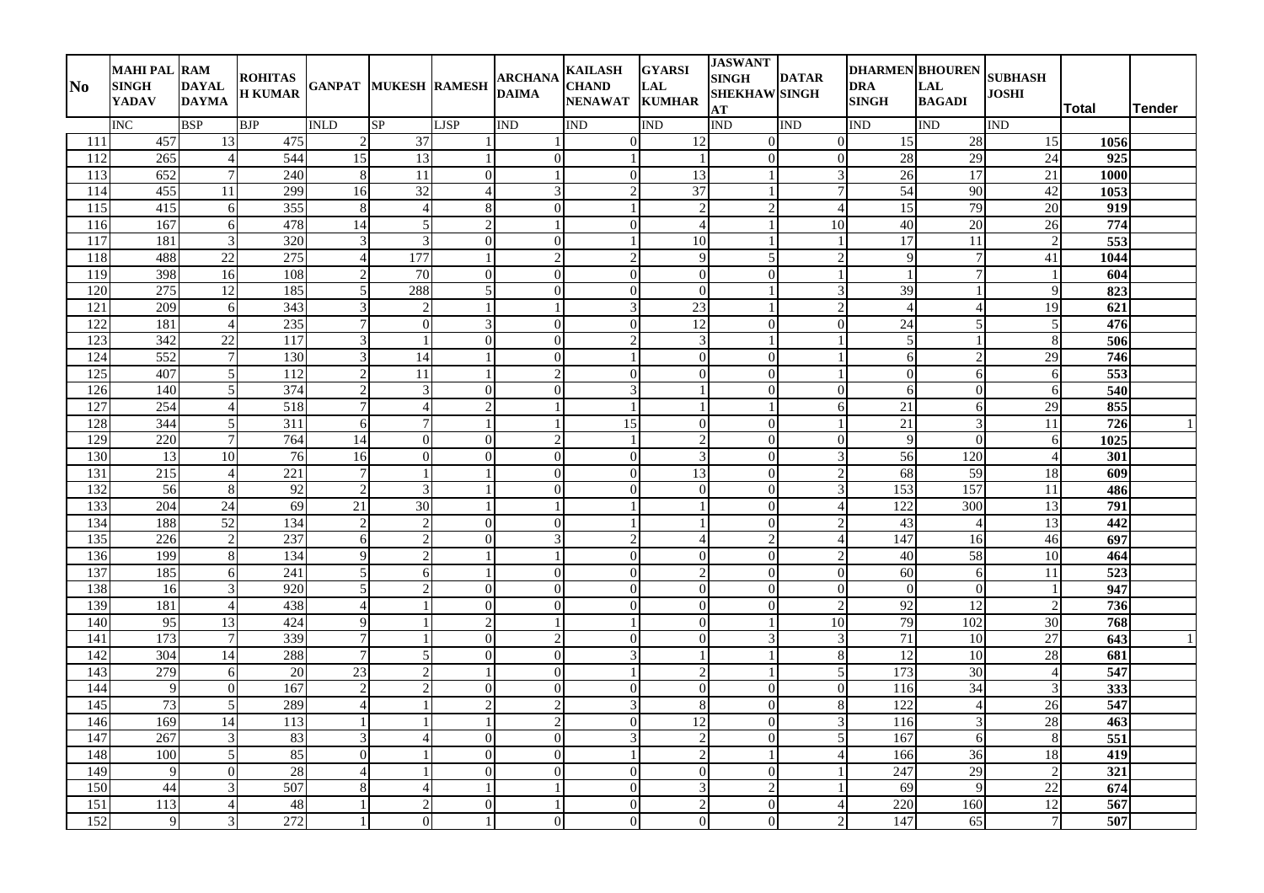| $\bf No$         | <b>MAHI PAL RAM</b><br><b>SINGH</b><br>YADAV | <b>DAYAL</b><br><b>DAYMA</b> | <b>ROHITAS</b><br><b>H KUMAR</b> | <b>GANPAT MUKESH RAMESH</b>     |                                  |                          | <b>ARCHANA</b><br><b>DAIMA</b> | <b>KAILASH</b><br><b>CHAND</b><br><b>NENAWAT</b> | <b>GYARSI</b><br>LAL<br><b>KUMHAR</b> | <b>JASWANT</b><br><b>SINGH</b><br><b>SHEKHAW SINGH</b><br>AT | <b>DATAR</b>   | <b>DHARMEN BHOUREN</b><br><b>DRA</b><br><b>SINGH</b> | <b>LAL</b><br><b>BAGADI</b> | <b>SUBHASH</b><br><b>JOSHI</b> | Total            | <b>Tender</b> |
|------------------|----------------------------------------------|------------------------------|----------------------------------|---------------------------------|----------------------------------|--------------------------|--------------------------------|--------------------------------------------------|---------------------------------------|--------------------------------------------------------------|----------------|------------------------------------------------------|-----------------------------|--------------------------------|------------------|---------------|
|                  | <b>INC</b>                                   | <b>BSP</b>                   | <b>BJP</b>                       | <b>INLD</b>                     | SP                               | <b>LJSP</b>              | <b>IND</b>                     | <b>IND</b>                                       | <b>IND</b>                            | <b>IND</b>                                                   | <b>IND</b>     | IND                                                  | <b>IND</b>                  | <b>IND</b>                     |                  |               |
| 111              | 457                                          | 13                           | 475                              | $\mathcal{L}$                   | 37                               |                          |                                | $\mathbf{0}$                                     | 12                                    | $\Omega$                                                     | $\Omega$       | 15                                                   | $\overline{28}$             | 15                             | 1056             |               |
| 112              | 265                                          | $\overline{4}$               | 544                              | $\overline{15}$                 | $\overline{13}$                  |                          | $\theta$                       |                                                  |                                       | $\theta$                                                     | $\Omega$       | 28                                                   | $\overline{29}$             | 24                             | 925              |               |
| 113              | 652                                          | $\overline{7}$               | 240                              | 8                               | 11                               | $\overline{0}$           |                                | $\boldsymbol{0}$                                 | $\overline{13}$                       |                                                              | 3              | 26                                                   | 17                          | 21                             | 1000             |               |
| 114              | 455                                          | 11                           | 299                              | 16                              | $\overline{32}$                  | $\overline{\mathcal{A}}$ | 3                              | $\mathcal{D}$                                    | $\overline{37}$                       |                                                              | $\overline{7}$ | 54                                                   | 90                          | $\overline{42}$                | 1053             |               |
| 115              | 415                                          | 6                            | 355                              | 8                               | $\overline{4}$                   | $\,8\,$                  | $\boldsymbol{0}$               |                                                  | $\overline{2}$                        | $\mathcal{P}$                                                | $\Delta$       | $\overline{15}$                                      | 79                          | $\overline{20}$                | $\overline{919}$ |               |
| 116              | 167                                          | 6                            | 478                              | 14                              | 5 <sup>1</sup>                   | $\overline{c}$           | $\mathbf{1}$                   | $\mathbf{0}$                                     | $\overline{4}$                        |                                                              | 10             | 40                                                   | 20                          | $\overline{26}$                | 774              |               |
| 117              | 181                                          | 3                            | 320                              | 3                               | 3                                | $\Omega$                 | $\Omega$                       |                                                  | 10                                    |                                                              | $\mathbf{1}$   | 17                                                   | 11                          | $\overline{2}$                 | 553              |               |
| 118              | 488                                          | 22                           | 275                              | $\overline{4}$                  | 177                              |                          | $\overline{c}$                 | $\overline{2}$                                   | 9                                     | $\overline{5}$                                               | $\overline{c}$ | 9                                                    | $\overline{7}$              | $\overline{41}$                | 1044             |               |
| $\overline{119}$ | 398                                          | 16                           | 108                              | $\mathfrak{D}$                  | 70                               | $\overline{0}$           | $\theta$                       | $\mathbf{0}$                                     | $\overline{0}$                        | $\Omega$                                                     | $\mathbf{1}$   |                                                      | $\overline{7}$              |                                | 604              |               |
| 120              | 275                                          | 12                           | 185                              | 5                               | 288                              | 5                        | $\boldsymbol{0}$               | $\boldsymbol{0}$                                 | $\overline{0}$                        |                                                              | 3              | 39                                                   | -1                          | $\overline{9}$                 | 823              |               |
| 121              | 209                                          | 6                            | 343                              | 3                               | $\overline{2}$                   | 1                        | $\mathbf{1}$                   | 3                                                | 23                                    |                                                              |                | $\overline{4}$                                       | $\overline{4}$              | 19                             | 621              |               |
| 122              | 181                                          | $\overline{4}$               | 235                              |                                 | $\overline{0}$                   | $\overline{3}$           | $\theta$                       | $\overline{0}$                                   | 12                                    | $\Omega$                                                     | $\Omega$       | $\overline{24}$                                      | 5                           | 5                              | 476              |               |
| 123              | 342                                          | $\overline{22}$              | 117                              | 3                               |                                  | $\Omega$                 | $\boldsymbol{0}$               | $\overline{c}$                                   | $\mathfrak{Z}$                        |                                                              |                | 5                                                    |                             | 8                              | 506              |               |
| 124              | 552                                          | 7                            | 130                              | 3                               | 14                               |                          | $\theta$                       |                                                  | $\Omega$                              | $\Omega$                                                     |                | 6                                                    | $\overline{2}$              | 29                             | 746              |               |
| 125              | 407                                          | 5                            | 112                              | $\mathfrak{D}$                  | 11                               | 1                        | $\overline{c}$                 | $\mathbf{0}$                                     | $\overline{0}$                        | $\Omega$                                                     | $\mathbf{1}$   | $\Omega$                                             | 6                           | 6                              | 553              |               |
| 126              | 140                                          | 5                            | 374                              | $\mathcal{D}$<br>$\overline{7}$ | 3                                | $\overline{0}$           | $\theta$<br>$\mathbf{1}$       | 3                                                | $\mathbf{1}$                          | $\Omega$                                                     | $\Omega$       | 6                                                    | $\Omega$                    | 6                              | 540              |               |
| 127              | 254                                          | $\overline{4}$               | 518                              |                                 | $\overline{4}$<br>$\overline{7}$ | $\overline{2}$           |                                | $\overline{1}$                                   | $\mathbf{1}$                          |                                                              | 6              | 21                                                   | 6                           | 29                             | 855              |               |
| 128<br>129       | 344                                          | $\sqrt{5}$<br>$\overline{7}$ | 311<br>764                       | 6<br>$\overline{14}$            | $\overline{0}$                   | $\overline{0}$           | $\overline{c}$                 | $\overline{15}$<br>$\overline{1}$                | $\mathbf{0}$<br>$\overline{2}$        | $\Omega$<br>$\overline{0}$                                   | $\overline{0}$ | 21<br>$\mathbf Q$                                    | 3<br>$\Omega$               | 11                             | $\overline{726}$ |               |
| 130              | 220<br>13                                    | $\overline{10}$              | $\overline{76}$                  |                                 | $\mathbf{0}$                     | $\overline{0}$           | $\theta$                       |                                                  | $\mathfrak{Z}$                        | $\Omega$                                                     |                | 56                                                   |                             | 6<br>$\overline{4}$            | 1025<br>301      |               |
| 131              | 215                                          | $\overline{4}$               | 221                              | 16<br>$\overline{7}$            |                                  | 1                        | $\boldsymbol{0}$               | $\boldsymbol{0}$<br>$\boldsymbol{0}$             | 13                                    | $\Omega$                                                     |                | 68                                                   | 120<br>59                   | 18                             | 609              |               |
| 132              | 56                                           | 8                            | $\overline{92}$                  | $\mathcal{D}_{\alpha}$          | $\mathcal{F}$                    |                          | $\Omega$                       | $\theta$                                         | $\Omega$                              | $\Omega$                                                     |                | 153                                                  | 157                         | $\overline{11}$                | 486              |               |
| 133              | 204                                          | $\overline{24}$              | $\overline{69}$                  | 21                              | 30                               |                          |                                |                                                  |                                       | $\bigcap$                                                    |                | 122                                                  | $\overline{300}$            | 13                             | 791              |               |
| 134              | 188                                          | 52                           | 134                              | $\mathfrak{D}$                  | $\mathfrak{D}$                   | $\overline{0}$           | $\theta$                       |                                                  | $\mathbf{1}$                          | $\overline{0}$                                               |                | $\overline{43}$                                      | $\overline{4}$              | $\overline{13}$                | 442              |               |
| 135              | 226                                          | $\overline{2}$               | 237                              | 6                               | $\overline{2}$                   | $\overline{0}$           | 3                              | $\overline{c}$                                   | $\overline{4}$                        | $\overline{2}$                                               |                | 147                                                  | 16                          | 46                             | 697              |               |
| 136              | 199                                          | $\,8\,$                      | 134                              | $\mathbf Q$                     | $\overline{2}$                   | 1                        | -1                             | $\boldsymbol{0}$                                 | $\mathbf{0}$                          | $\overline{0}$                                               | 2              | 40                                                   | 58                          | 10                             | 464              |               |
| 137              | 185                                          | 6                            | $\overline{241}$                 | 5                               | 6                                | 1                        | $\theta$                       | $\boldsymbol{0}$                                 | $\overline{2}$                        | $\Omega$                                                     | $\Omega$       | $\overline{60}$                                      | 6                           | $\overline{11}$                | 523              |               |
| 138              | 16                                           | 3                            | 920                              | 5                               | $\mathcal{D}$                    | $\overline{0}$           | $\overline{0}$                 | $\overline{0}$                                   | $\overline{0}$                        | $\Omega$                                                     | $\Omega$       | $\Omega$                                             | $\Omega$                    |                                | 947              |               |
| 139              | 181                                          | $\overline{4}$               | 438                              | $\overline{4}$                  |                                  | $\Omega$                 | $\boldsymbol{0}$               | $\boldsymbol{0}$                                 | $\Omega$                              | $\Omega$                                                     | $\mathfrak{D}$ | 92                                                   | 12                          | 2                              | 736              |               |
| 140              | 95                                           | 13                           | 424                              | $\overline{Q}$                  |                                  | $\overline{c}$           | -1                             |                                                  | $\Omega$                              |                                                              | 10             | 79                                                   | 102                         | 30                             | 768              |               |
| 141              | 173                                          | $\tau$                       | 339                              | $\overline{7}$                  |                                  | $\overline{0}$           | 2                              | $\mathbf{0}$                                     | $\overline{0}$                        | 3                                                            | 3              | 71                                                   | 10                          | 27                             | 643              |               |
| 142              | 304                                          | 14                           | 288                              | $\overline{7}$                  | $\mathfrak{S}$                   | $\overline{0}$           | $\theta$                       | 3                                                | $\mathbf{1}$                          |                                                              | 8              | 12                                                   | 10                          | 28                             | 681              |               |
| 143              | 279                                          | 6                            | 20                               | 23                              | $\overline{2}$                   |                          | $\theta$                       |                                                  | $\overline{c}$                        |                                                              | 5              | 173                                                  | $\overline{30}$             | $\overline{4}$                 | 547              |               |
| 144              | 9                                            | $\boldsymbol{0}$             | 167                              | $\overline{c}$                  | $\overline{\mathcal{L}}$         | $\overline{0}$           | $\overline{0}$                 | $\boldsymbol{0}$                                 | $\mathbf{0}$                          | $\overline{0}$                                               | $\overline{0}$ | 116                                                  | 34                          | 3                              | 333              |               |
| $\overline{145}$ | 73                                           | 5                            | 289                              | 4                               |                                  | $\overline{c}$           | $\overline{c}$                 | 3                                                | $\,8\,$                               | $\overline{0}$                                               | 8              | 122                                                  | $\overline{4}$              | 26                             | 547              |               |
| 146              | 169                                          | 14                           | 113                              |                                 |                                  | 1                        | $\overline{2}$                 | $\boldsymbol{0}$                                 | 12                                    | $\overline{0}$                                               | 3              | 116                                                  | 3                           | 28                             | 463              |               |
| 147              | 267                                          | 3                            | 83                               | $\mathcal{R}$                   | 4                                | $\overline{0}$           | $\boldsymbol{0}$               | 3                                                | $\overline{2}$                        | $\Omega$                                                     | $\overline{5}$ | 167                                                  | 6                           | $\overline{8}$                 | 551              |               |
| 148              | 100                                          | 5                            | 85                               | $\Omega$                        |                                  | $\Omega$                 | $\boldsymbol{0}$               |                                                  | $\overline{2}$                        |                                                              |                | 166                                                  | 36                          | 18                             | 419              |               |
| 149              | 9                                            | $\theta$                     | 28                               | $\overline{4}$                  |                                  | $\overline{0}$           | $\overline{0}$                 | $\mathbf{0}$                                     | $\overline{0}$                        | $\Omega$                                                     |                | 247                                                  | $\overline{29}$             | 2                              | $\frac{1}{321}$  |               |
| 150              | 44                                           | 3                            | 507                              | 8                               | $\overline{\mathcal{A}}$         |                          |                                | $\Omega$                                         | 3                                     | $\overline{2}$                                               |                | 69                                                   | $\mathbf Q$                 | 22                             | 674              |               |
| 151              | 113                                          | $\overline{4}$               | 48                               |                                 | 2                                | $\overline{0}$           |                                | $\boldsymbol{0}$                                 | $\overline{2}$                        | $\overline{0}$                                               |                | 220                                                  | 160                         | 12                             | 567              |               |
| 152              | 9                                            | 3                            | 272                              | $\mathbf{1}$                    | $\overline{0}$                   | 1                        | $\boldsymbol{0}$               | $\overline{0}$                                   | $\overline{0}$                        | $\Omega$                                                     | $\overline{c}$ | $\overline{147}$                                     | 65                          | $\overline{7}$                 | 507              |               |